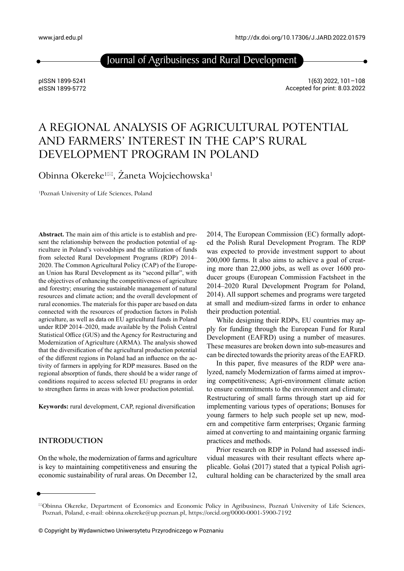Journal of Agribusiness and Rural Development

pISSN 1899-5241 eISSN 1899-5772

1(63) 2022, 101–108 Accepted for print: 8.03.2022

# A REGIONAL ANALYSIS OF AGRICULTURAL POTENTIAL AND FARMERS' INTEREST IN THE CAP'S RURAL DEVELOPMENT PROGRAM IN POLAND

Obinna Okereke<sup>1⊠</sup>, Żaneta Wojciechowska<sup>1</sup>

1Poznań University of Life Sciences, Poland

**Abstract.** The main aim of this article is to establish and present the relationship between the production potential of agriculture in Poland's voivodships and the utilization of funds from selected Rural Development Programs (RDP) 2014– 2020. The Common Agricultural Policy (CAP) of the European Union has Rural Development as its "second pillar", with the objectives of enhancing the competitiveness of agriculture and forestry; ensuring the sustainable management of natural resources and climate action; and the overall development of rural economies. The materials for this paper are based on data connected with the resources of production factors in Polish agriculture, as well as data on EU agricultural funds in Poland under RDP 2014–2020, made available by the Polish Central Statistical Office (GUS) and the Agency for Restructuring and Modernization of Agriculture (ARMA). The analysis showed that the diversification of the agricultural production potential of the different regions in Poland had an influence on the activity of farmers in applying for RDP measures. Based on the regional absorption of funds, there should be a wider range of conditions required to access selected EU programs in order to strengthen farms in areas with lower production potential.

**Keywords:** rural development, CAP, regional diversification

# **INTRODUCTION**

On the whole, the modernization of farms and agriculture is key to maintaining competitiveness and ensuring the economic sustainability of rural areas. On December 12, 2014, The European Commission (EC) formally adopted the Polish Rural Development Program. The RDP was expected to provide investment support to about 200,000 farms. It also aims to achieve a goal of creating more than 22,000 jobs, as well as over 1600 producer groups (European Commission Factsheet in the 2014–2020 Rural Development Program for Poland, 2014). All support schemes and programs were targeted at small and medium-sized farms in order to enhance their production potential.

While designing their RDPs, EU countries may apply for funding through the European Fund for Rural Development (EAFRD) using a number of measures. These measures are broken down into sub-measures and can be directed towards the priority areas of the EAFRD.

In this paper, five measures of the RDP were analyzed, namely Modernization of farms aimed at improving competitiveness; Agri-environment climate action to ensure commitments to the environment and climate; Restructuring of small farms through start up aid for implementing various types of operations; Bonuses for young farmers to help such people set up new, modern and competitive farm enterprises; Organic farming aimed at converting to and maintaining organic farming practices and methods.

Prior research on RDP in Poland had assessed individual measures with their resultant effects where applicable. Gołaś (2017) stated that a typical Polish agricultural holding can be characterized by the small area

Obinna Okereke, Department of Economics and Economic Policy in Agribusiness, Poznań University of Life Sciences, Poznań, Poland, e-mail: [obinna.okereke@up.poznan.pl,](mailto:obinna.okereke@up.poznan.pl) <https://orcid.org/0000-0001-5900-7192>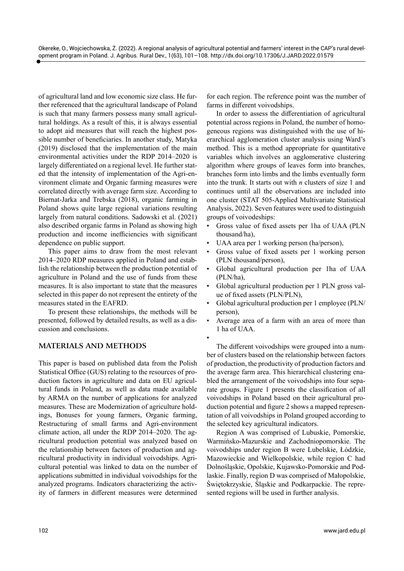of agricultural land and low economic size class. He further referenced that the agricultural landscape of Poland is such that many farmers possess many small agricultural holdings. As a result of this, it is always essential to adopt aid measures that will reach the highest possible number of beneficiaries. In another study, Matyka (2019) disclosed that the implementation of the main environmental activities under the RDP 2014–2020 is largely differentiated on a regional level. He further stated that the intensity of implementation of the Agri-environment climate and Organic farming measures were correlated directly with average farm size. According to Biernat-Jarka and Trebska (2018), organic farming in Poland shows quite large regional variations resulting largely from natural conditions. Sadowski et al. (2021) also described organic farms in Poland as showing high production and income inefficiencies with significant dependence on public support.

This paper aims to draw from the most relevant 2014–2020 RDP measures applied in Poland and establish the relationship between the production potential of agriculture in Poland and the use of funds from these measures. It is also important to state that the measures selected in this paper do not represent the entirety of the measures stated in the EAFRD.

To present these relationships, the methods will be presented, followed by detailed results, as well as a discussion and conclusions.

## **MATERIALS AND METHODS**

This paper is based on published data from the Polish Statistical Office (GUS) relating to the resources of production factors in agriculture and data on EU agricultural funds in Poland, as well as data made available by ARMA on the number of applications for analyzed measures. These are Modernization of agriculture holdings, Bonuses for young farmers, Organic farming, Restructuring of small farms and Agri-environment climate action, all under the RDP 2014–2020. The agricultural production potential was analyzed based on the relationship between factors of production and agricultural productivity in individual voivodships. Agricultural potential was linked to data on the number of applications submitted in individual voivodships for the analyzed programs. Indicators characterizing the activity of farmers in different measures were determined for each region. The reference point was the number of farms in different voivodships.

In order to assess the differentiation of agricultural potential across regions in Poland, the number of homogeneous regions was distinguished with the use of hierarchical agglomeration cluster analysis using Ward's method. This is a method appropriate for quantitative variables which involves an agglomerative clustering algorithm where groups of leaves form into branches, branches form into limbs and the limbs eventually form into the trunk. It starts out with *n* clusters of size 1 and continues until all the observations are included into one cluster (STAT 505-Applied Multivariate Statistical Analysis, 2022). Seven features were used to distinguish groups of voivodeships:

- Gross value of fixed assets per 1ha of UAA (PLN thousand/ha),
- UAA area per 1 working person (ha/person),
- Gross value of fixed assets per 1 working person (PLN thousand/person),
- Global agricultural production per 1ha of UAA (PLN/ha),
- Global agricultural production per 1 PLN gross value of fixed assets (PLN/PLN),
- Global agricultural production per 1 employee (PLN/ person),
- Average area of a farm with an area of more than 1 ha of UAA.
- •

The different voivodships were grouped into a number of clusters based on the relationship between factors of production, the productivity of production factors and the average farm area. This hierarchical clustering enabled the arrangement of the voivodships into four separate groups. Figure 1 presents the classification of all voivodships in Poland based on their agricultural production potential and figure 2 shows a mapped representation of all voivodships in Poland grouped according to the selected key agricultural indicators.

Region A was comprised of Lubuskie, Pomorskie, Warmińsko-Mazurskie and Zachodniopomorskie. The voivodships under region B were Lubelskie, Łódzkie, Mazowieckie and Wielkopolskie, while region C had Dolnośląskie, Opolskie, Kujawsko-Pomorskie and Podlaskie. Finally, region D was comprised of Małopolskie, Świętokrzyskie, Śląskie and Podkarpackie. The represented regions will be used in further analysis.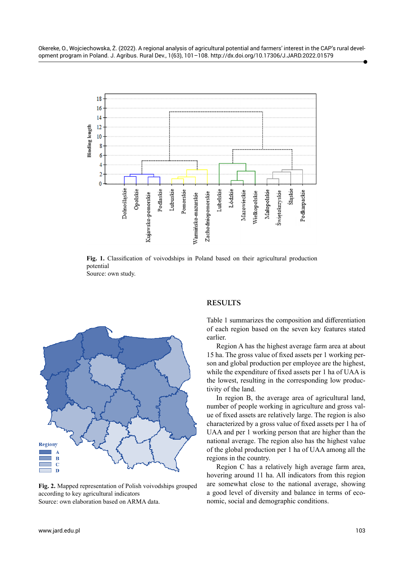

Fig. 1. Classification of voivodships in Poland based on their agricultural production potential Source: own study.



**Fig. 2.** Mapped representation of Polish voivodships grouped according to key agricultural indicators Source: own elaboration based on ARMA data.

#### **RESULTS**

Table 1 summarizes the composition and differentiation of each region based on the seven key features stated earlier.

Region A has the highest average farm area at about 15 ha. The gross value of fixed assets per 1 working person and global production per employee are the highest, while the expenditure of fixed assets per 1 ha of UAA is the lowest, resulting in the corresponding low productivity of the land.

In region B, the average area of agricultural land, number of people working in agriculture and gross value of fixed assets are relatively large. The region is also characterized by a gross value of fixed assets per 1 ha of UAA and per 1 working person that are higher than the national average. The region also has the highest value of the global production per 1 ha of UAA among all the regions in the country.

Region C has a relatively high average farm area, hovering around 11 ha. All indicators from this region are somewhat close to the national average, showing a good level of diversity and balance in terms of economic, social and demographic conditions.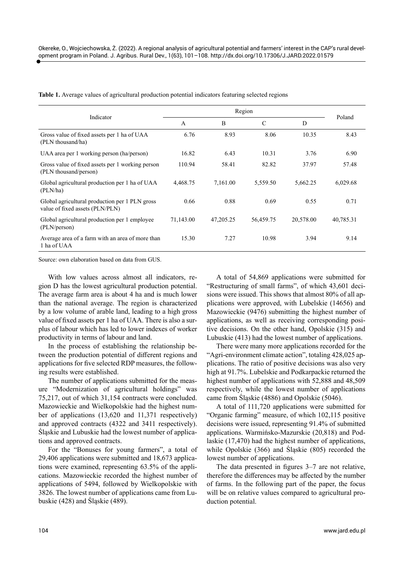| Table 1. Average values of agricultural production potential indicators featuring selected regions |  |
|----------------------------------------------------------------------------------------------------|--|
|----------------------------------------------------------------------------------------------------|--|

| Indicator                                                                         | Region       |           |               |           | Poland    |  |
|-----------------------------------------------------------------------------------|--------------|-----------|---------------|-----------|-----------|--|
|                                                                                   | $\mathsf{A}$ | B         | $\mathcal{C}$ | D         |           |  |
| Gross value of fixed assets per 1 ha of UAA<br>(PLN thousand/ha)                  | 6.76         | 8.93      | 8.06          | 10.35     | 8.43      |  |
| UAA area per 1 working person (ha/person)                                         | 16.82        | 6.43      | 10.31         | 3.76      | 6.90      |  |
| Gross value of fixed assets per 1 working person<br>(PLN thousand/person)         | 110.94       | 58.41     | 82.82         | 37.97     | 57.48     |  |
| Global agricultural production per 1 ha of UAA<br>(PLN/ha)                        | 4,468.75     | 7,161.00  | 5,559.50      | 5,662.25  | 6,029.68  |  |
| Global agricultural production per 1 PLN gross<br>value of fixed assets (PLN/PLN) | 0.66         | 0.88      | 0.69          | 0.55      | 0.71      |  |
| Global agricultural production per 1 employee<br>(PLN/person)                     | 71,143.00    | 47,205.25 | 56,459.75     | 20,578.00 | 40,785.31 |  |
| Average area of a farm with an area of more than<br>1 ha of UAA                   | 15.30        | 7.27      | 10.98         | 3.94      | 9.14      |  |

Source: own elaboration based on data from GUS.

With low values across almost all indicators, region D has the lowest agricultural production potential. The average farm area is about 4 ha and is much lower than the national average. The region is characterized by a low volume of arable land, leading to a high gross value of fixed assets per 1 ha of UAA. There is also a surplus of labour which has led to lower indexes of worker productivity in terms of labour and land.

In the process of establishing the relationship between the production potential of different regions and applications for five selected RDP measures, the following results were established.

The number of applications submitted for the measure "Modernization of agricultural holdings" was 75,217, out of which 31,154 contracts were concluded. Mazowieckie and Wielkopolskie had the highest number of applications (13,620 and 11,371 respectively) and approved contracts (4322 and 3411 respectively). Śląskie and Lubuskie had the lowest number of applications and approved contracts.

For the "Bonuses for young farmers", a total of 29,406 applications were submitted and 18,673 applications were examined, representing 63.5% of the applications. Mazowieckie recorded the highest number of applications of 5494, followed by Wielkopolskie with 3826. The lowest number of applications came from Lubuskie (428) and Śląskie (489).

A total of 54,869 applications were submitted for "Restructuring of small farms", of which 43,601 decisions were issued. This shows that almost 80% of all applications were approved, with Lubelskie (14656) and Mazowieckie (9476) submitting the highest number of applications, as well as receiving corresponding positive decisions. On the other hand, Opolskie (315) and Lubuskie (413) had the lowest number of applications.

There were many more applications recorded for the "Agri-environment climate action", totaling 428,025 applications. The ratio of positive decisions was also very high at 91.7%. Lubelskie and Podkarpackie returned the highest number of applications with 52,888 and 48,509 respectively, while the lowest number of applications came from Śląskie (4886) and Opolskie (5046).

A total of 111,720 applications were submitted for "Organic farming" measure, of which 102,115 positive decisions were issued, representing 91.4% of submitted applications. Warmińsko-Mazurskie (20,818) and Podlaskie (17,470) had the highest number of applications, while Opolskie (366) and Śląskie (805) recorded the lowest number of applications.

The data presented in figures 3–7 are not relative, therefore the differences may be affected by the number of farms. In the following part of the paper, the focus will be on relative values compared to agricultural production potential.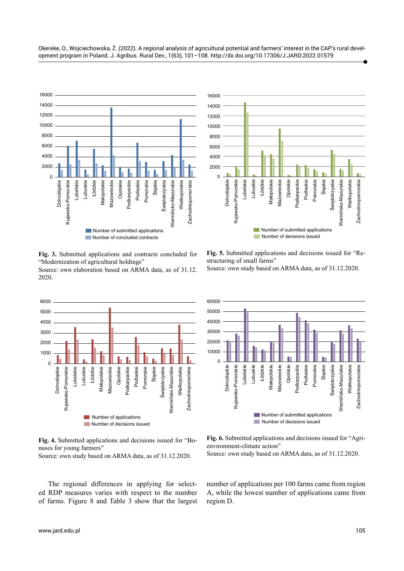

**Fig. 3.** Submitted applications and contracts concluded for "Modernization of agricultural holdings" Source: own elaboration based on ARMA data, as of 31.12.

2020.



**Fig. 4.** Submitted applications and decisions issued for "Bonuses for young farmers"

Source: own study based on ARMA data, as of 31.12.2020.

The regional differences in applying for selected RDP measures varies with respect to the number of farms. Figure 8 and Table 3 show that the largest



**Fig. 5.** Submitted applications and decisions issued for "Restructuring of small farms"

Source: own study based on ARMA data, as of 31.12.2020.



**Fig. 6.** Submitted applications and decisions issued for "Agrienvironment-climate action"

Source: own study based on ARMA data, as of 31.12.2020.

number of applications per 100 farms came from region A, while the lowest number of applications came from region D.

Okereke, O., Wojciechowska, Ż. (2022). A regional analysis of agricultural potential and farmers' interest in the CAP's rural development program in Poland. J. Agribus. Rural Dev., 1(63), 101–108. <http://dx.doi.org/10.17306/J.JARD.2022.01579>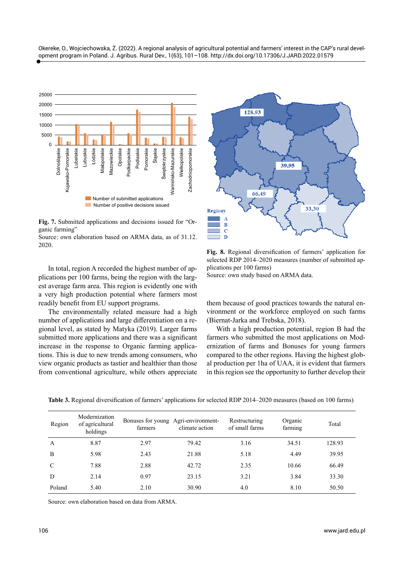

**Fig. 7.** Submitted applications and decisions issued for "Organic farming"

Source: own elaboration based on ARMA data, as of 31.12. 2020.

In total, region A recorded the highest number of applications per 100 farms, being the region with the largest average farm area. This region is evidently one with a very high production potential where farmers most readily benefit from EU support programs.

The environmentally related measure had a high number of applications and large differentiation on a regional level, as stated by Matyka (2019). Larger farms submitted more applications and there was a significant increase in the response to Organic farming applications. This is due to new trends among consumers, who view organic products as tastier and healthier than those from conventional agriculture, while others appreciate



**Fig. 8.** Regional diversification of farmers' application for selected RDP 2014–2020 measures (number of submitted applications per 100 farms)

Source: own study based on ARMA data.

them because of good practices towards the natural environment or the workforce employed on such farms (Biernat-Jarka and Trebska, 2018).

With a high production potential, region B had the farmers who submitted the most applications on Modernization of farms and Bonuses for young farmers compared to the other regions. Having the highest global production per 1ha of UAA, it is evident that farmers in this region see the opportunity to further develop their

| Region        | Modernization<br>of agricultural<br>holdings | Bonuses for young Agri-environment-<br>farmers | climate action | Restructuring<br>of small farms | Organic<br>farming | Total  |
|---------------|----------------------------------------------|------------------------------------------------|----------------|---------------------------------|--------------------|--------|
| A             | 8.87                                         | 2.97                                           | 79.42          | 3.16                            | 34.51              | 128.93 |
| B             | 5.98                                         | 2.43                                           | 21.88          | 5.18                            | 4.49               | 39.95  |
| $\mathcal{C}$ | 7.88                                         | 2.88                                           | 42.72          | 2.35                            | 10.66              | 66.49  |
| D             | 2.14                                         | 0.97                                           | 23.15          | 3.21                            | 3.84               | 33.30  |
| Poland        | 5.40                                         | 2.10                                           | 30.90          | 4.0                             | 8.10               | 50.50  |

**Table 3.** Regional diversification of farmers' applications for selected RDP 2014–2020 measures (based on 100 farms)

Source: own elaboration based on data from ARMA.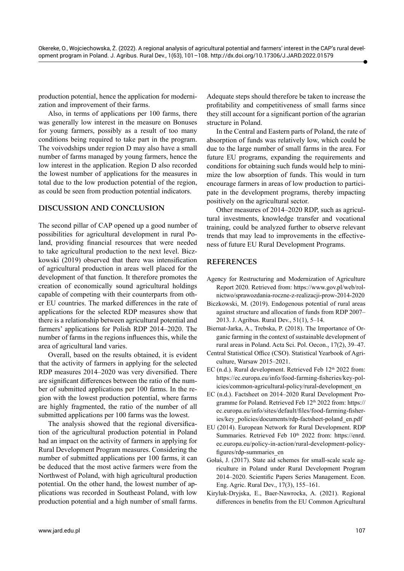production potential, hence the application for modernization and improvement of their farms.

Also, in terms of applications per 100 farms, there was generally low interest in the measure on Bonuses for young farmers, possibly as a result of too many conditions being required to take part in the program. The voivodships under region D may also have a small number of farms managed by young farmers, hence the low interest in the application. Region D also recorded the lowest number of applications for the measures in total due to the low production potential of the region, as could be seen from production potential indicators.

## **DISCUSSION AND CONCLUSION**

The second pillar of CAP opened up a good number of possibilities for agricultural development in rural Poland, providing financial resources that were needed to take agricultural production to the next level. Biczkowski (2019) observed that there was intensification of agricultural production in areas well placed for the development of that function. It therefore promotes the creation of economically sound agricultural holdings capable of competing with their counterparts from other EU countries. The marked differences in the rate of applications for the selected RDP measures show that there is a relationship between agricultural potential and farmers' applications for Polish RDP 2014–2020. The number of farms in the regions influences this, while the area of agricultural land varies.

Overall, based on the results obtained, it is evident that the activity of farmers in applying for the selected RDP measures 2014–2020 was very diversified. There are significant differences between the ratio of the number of submitted applications per 100 farms. In the region with the lowest production potential, where farms are highly fragmented, the ratio of the number of all submitted applications per 100 farms was the lowest.

The analysis showed that the regional diversification of the agricultural production potential in Poland had an impact on the activity of farmers in applying for Rural Development Program measures. Considering the number of submitted applications per 100 farms, it can be deduced that the most active farmers were from the Northwest of Poland, with high agricultural production potential. On the other hand, the lowest number of applications was recorded in Southeast Poland, with low production potential and a high number of small farms.

Adequate steps should therefore be taken to increase the profitability and competitiveness of small farms since they still account for a significant portion of the agrarian structure in Poland.

In the Central and Eastern parts of Poland, the rate of absorption of funds was relatively low, which could be due to the large number of small farms in the area. For future EU programs, expanding the requirements and conditions for obtaining such funds would help to minimize the low absorption of funds. This would in turn encourage farmers in areas of low production to participate in the development programs, thereby impacting positively on the agricultural sector.

Other measures of 2014–2020 RDP, such as agricultural investments, knowledge transfer and vocational training, could be analyzed further to observe relevant trends that may lead to improvements in the effectiveness of future EU Rural Development Programs.

# **REFERENCES**

- Agency for Restructuring and Modernization of Agriculture Report 2020. Retrieved from: [https://www.gov.pl/web/rol](https://www.gov.pl/web/rolnictwo/sprawozdania-roczne-z-realizacji-prow-2014-2020)[nictwo/sprawozdania-roczne-z-realizacji-prow-2014-2020](https://www.gov.pl/web/rolnictwo/sprawozdania-roczne-z-realizacji-prow-2014-2020)
- Biczkowski, M. (2019). Endogenous potential of rural areas against structure and allocation of funds from RDP 2007– 2013. J. Agribus. Rural Dev., 51(1), 5–14.
- Biernat-Jarka, A., Trebska, P. (2018). The Importance of Organic farming in the context of sustainable development of rural areas in Poland. Acta Sci. Pol. Oecon., 17(2), 39–47.
- Central Statistical Office (CSO). Statistical Yearbook of Agriculture, Warsaw 2015–2021.
- EC (n.d.). Rural development. Retrieved Feb 12<sup>th</sup> 2022 from: [https://ec.europa.eu/info/food-farming-fisheries/key-pol](https://ec.europa.eu/info/food-farming-fisheries/key-policies/common-agricultural-policy/rural-development_en)[icies/common-agricultural-policy/rural-development\\_en](https://ec.europa.eu/info/food-farming-fisheries/key-policies/common-agricultural-policy/rural-development_en)
- EC (n.d.). Factsheet on 2014–2020 Rural Development Programme for Poland. Retrieved Feb 12th 2022 from: [https://](https://ec.europa.eu/info/sites/default/files/food-farming-fisheries/key_policies/documents/rdp-factsheet-poland_en.pdf) [ec.europa.eu/info/sites/default/files/food-farming-fisher](https://ec.europa.eu/info/sites/default/files/food-farming-fisheries/key_policies/documents/rdp-factsheet-poland_en.pdf)[ies/key\\_policies/documents/rdp-factsheet-poland\\_en.pdf](https://ec.europa.eu/info/sites/default/files/food-farming-fisheries/key_policies/documents/rdp-factsheet-poland_en.pdf)
- EU (2014). European Network for Rural Development. RDP Summaries. Retrieved Feb 10<sup>th</sup> 2022 from: [https://enrd.](https://enrd.ec.europa.eu/policy-in-action/rural-development-policy-figures/rdp-summaries_en) [ec.europa.eu/policy-in-action/rural-development-policy](https://enrd.ec.europa.eu/policy-in-action/rural-development-policy-figures/rdp-summaries_en)[figures/rdp-summaries\\_en](https://enrd.ec.europa.eu/policy-in-action/rural-development-policy-figures/rdp-summaries_en)
- Gołaś, J. (2017). State aid schemes for small-scale scale agriculture in Poland under Rural Development Program 2014–2020. Scientific Papers Series Management. Econ. Eng. Agric. Rural Dev., 17(3), 155–161.
- Kiryluk-Dryjska, E., Baer-Nawrocka, A. (2021). Regional differences in benefits from the EU Common Agricultural